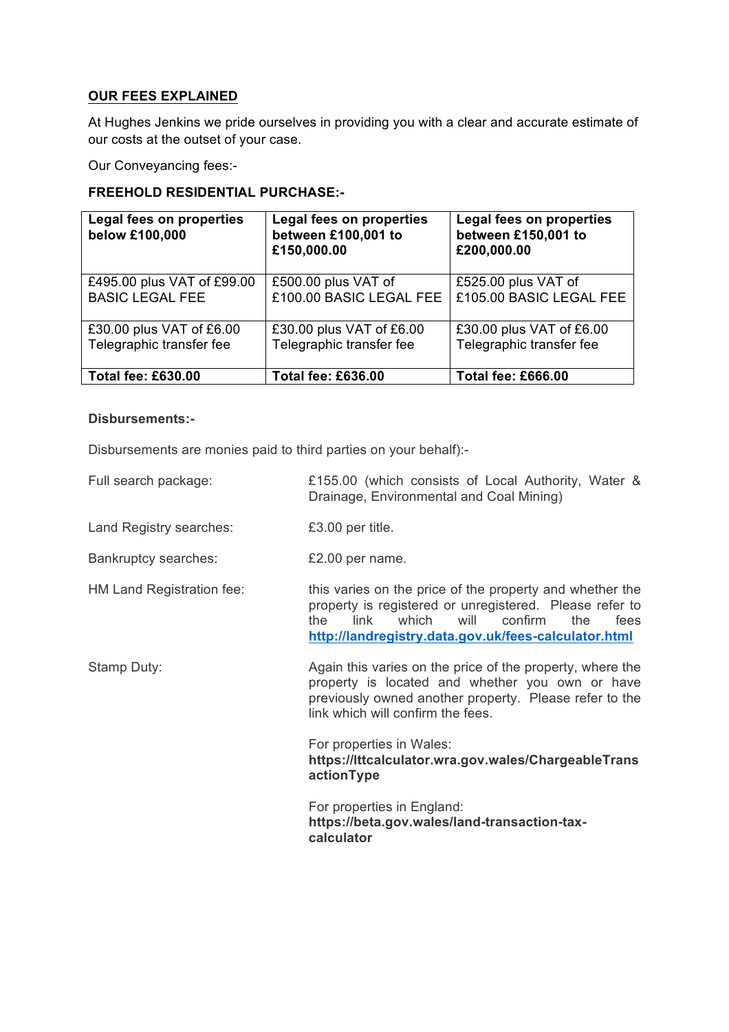## **OUR FEES EXPLAINED**

At Hughes Jenkins we pride ourselves in providing you with a clear and accurate estimate of our costs at the outset of your case.

Our Conveyancing fees:-

## **FREEHOLD RESIDENTIAL PURCHASE:-**

| Legal fees on properties<br>below £100,000 | <b>Legal fees on properties</b><br>between £100,001 to<br>£150,000.00 | Legal fees on properties<br>between £150,001 to<br>£200,000.00 |
|--------------------------------------------|-----------------------------------------------------------------------|----------------------------------------------------------------|
| £495.00 plus VAT of £99.00                 | £500.00 plus VAT of                                                   | £525.00 plus VAT of                                            |
| <b>BASIC LEGAL FEE</b>                     | £100.00 BASIC LEGAL FEE                                               | £105.00 BASIC LEGAL FEE                                        |
| £30.00 plus VAT of £6.00                   | £30.00 plus VAT of £6.00                                              | £30.00 plus VAT of £6.00                                       |
| Telegraphic transfer fee                   | Telegraphic transfer fee                                              | Telegraphic transfer fee                                       |
| <b>Total fee: £630.00</b>                  | <b>Total fee: £636.00</b>                                             | <b>Total fee: £666.00</b>                                      |

### **Disbursements:-**

Disbursements are monies paid to third parties on your behalf):-

- Full search package: £155.00 (which consists of Local Authority, Water & Drainage, Environmental and Coal Mining)
- Land Registry searches: £3.00 per title.
- Bankruptcy searches: £2.00 per name.
- 

HM Land Registration fee: this varies on the price of the property and whether the property is registered or unregistered. Please refer to the link which will confirm the fees **http://landregistry.data.gov.uk/fees-calculator.html**

Stamp Duty: Stamp Duty: Again this varies on the price of the property, where the property is located and whether you own or have previously owned another property. Please refer to the link which will confirm the fees.

> For properties in Wales: **https://lttcalculator.wra.gov.wales/ChargeableTrans actionType**

For properties in England: **https://beta.gov.wales/land-transaction-taxcalculator**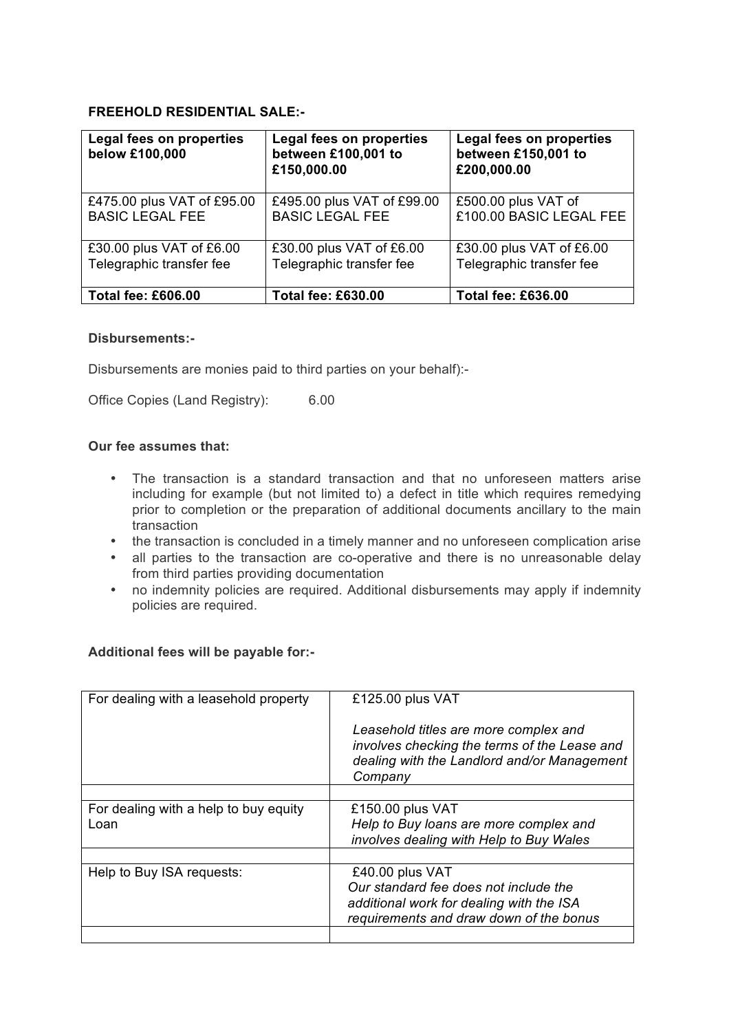# **FREEHOLD RESIDENTIAL SALE:-**

| Legal fees on properties<br>below £100,000 | Legal fees on properties<br>between £100,001 to<br>£150,000.00 | Legal fees on properties<br>between £150,001 to<br>£200,000.00 |
|--------------------------------------------|----------------------------------------------------------------|----------------------------------------------------------------|
| £475.00 plus VAT of £95.00                 | £495.00 plus VAT of £99.00                                     | £500.00 plus VAT of                                            |
| <b>BASIC LEGAL FEE</b>                     | <b>BASIC LEGAL FEE</b>                                         | £100.00 BASIC LEGAL FEE                                        |
| £30.00 plus VAT of £6.00                   | £30.00 plus VAT of £6.00                                       | £30.00 plus VAT of £6.00                                       |
| Telegraphic transfer fee                   | Telegraphic transfer fee                                       | Telegraphic transfer fee                                       |
| <b>Total fee: £606.00</b>                  | <b>Total fee: £630.00</b>                                      | <b>Total fee: £636.00</b>                                      |

### **Disbursements:-**

Disbursements are monies paid to third parties on your behalf):-

Office Copies (Land Registry): 6.00

## **Our fee assumes that:**

- The transaction is a standard transaction and that no unforeseen matters arise including for example (but not limited to) a defect in title which requires remedying prior to completion or the preparation of additional documents ancillary to the main transaction
- the transaction is concluded in a timely manner and no unforeseen complication arise
- all parties to the transaction are co-operative and there is no unreasonable delay from third parties providing documentation
- no indemnity policies are required. Additional disbursements may apply if indemnity policies are required.

### **Additional fees will be payable for:-**

| For dealing with a leasehold property | £125.00 plus VAT                                                                                                                                |
|---------------------------------------|-------------------------------------------------------------------------------------------------------------------------------------------------|
|                                       | Leasehold titles are more complex and<br>involves checking the terms of the Lease and<br>dealing with the Landlord and/or Management<br>Company |
|                                       |                                                                                                                                                 |
| For dealing with a help to buy equity | £150.00 plus VAT                                                                                                                                |
| Loan                                  | Help to Buy loans are more complex and<br>involves dealing with Help to Buy Wales                                                               |
|                                       |                                                                                                                                                 |
| Help to Buy ISA requests:             | £40.00 plus VAT                                                                                                                                 |
|                                       | Our standard fee does not include the                                                                                                           |
|                                       | additional work for dealing with the ISA                                                                                                        |
|                                       | requirements and draw down of the bonus                                                                                                         |
|                                       |                                                                                                                                                 |